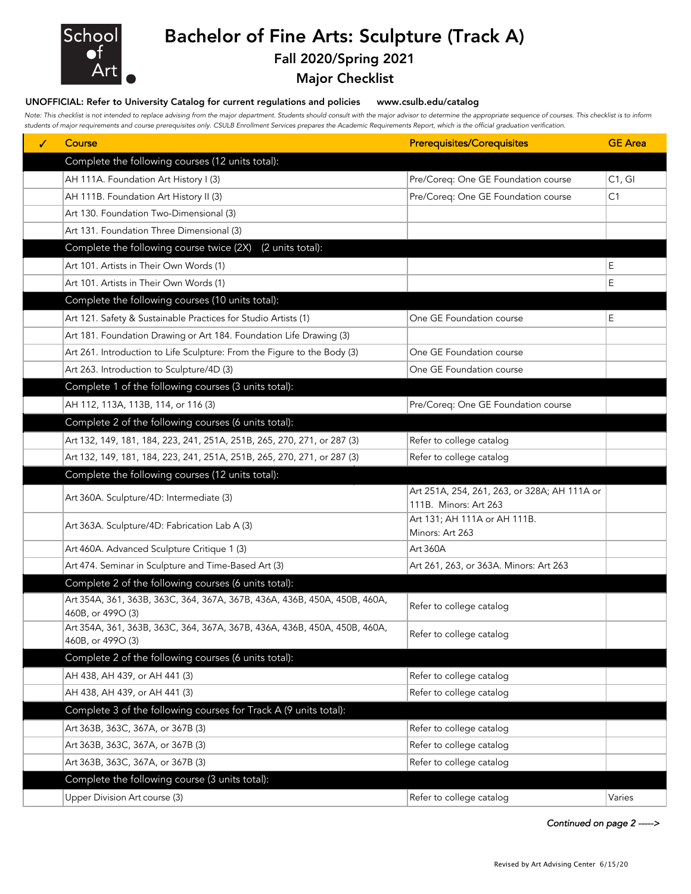

## Bachelor of Fine Arts: Sculpture (Track A)

### Fall 2020/Spring 2021

Major Checklist

#### UNOFFICIAL: Refer to University Catalog for current regulations and policies www.csulb.edu/catalog

*Note: This checklist is not intended to replace advising from the major department. Students should consult with the major advisor to determine the appropriate sequence of courses. This checklist is to inform students of major requirements and course prerequisites only. CSULB Enrollment Services prepares the Academic Requirements Report, which is the official graduation verification.*

| ✓ | Course                                                                                         | <b>Prerequisites/Corequisites</b>               | <b>GE</b> Area |
|---|------------------------------------------------------------------------------------------------|-------------------------------------------------|----------------|
|   | Complete the following courses (12 units total):                                               |                                                 |                |
|   | AH 111A. Foundation Art History I (3)                                                          | Pre/Coreq: One GE Foundation course             | C1, G1         |
|   | AH 111B. Foundation Art History II (3)                                                         | Pre/Coreq: One GE Foundation course             | C <sub>1</sub> |
|   | Art 130. Foundation Two-Dimensional (3)                                                        |                                                 |                |
|   | Art 131. Foundation Three Dimensional (3)                                                      |                                                 |                |
|   | Complete the following course twice (2X)<br>(2 units total):                                   |                                                 |                |
|   | Art 101. Artists in Their Own Words (1)                                                        |                                                 | Е              |
|   | Art 101. Artists in Their Own Words (1)                                                        |                                                 | Ε              |
|   | Complete the following courses (10 units total):                                               |                                                 |                |
|   | Art 121. Safety & Sustainable Practices for Studio Artists (1)                                 | One GE Foundation course                        | Е              |
|   | Art 181. Foundation Drawing or Art 184. Foundation Life Drawing (3)                            |                                                 |                |
|   | Art 261. Introduction to Life Sculpture: From the Figure to the Body (3)                       | One GE Foundation course                        |                |
|   | Art 263. Introduction to Sculpture/4D (3)                                                      | One GE Foundation course                        |                |
|   | Complete 1 of the following courses (3 units total):                                           |                                                 |                |
|   | AH 112, 113A, 113B, 114, or 116 (3)                                                            | Pre/Coreq: One GE Foundation course             |                |
|   | Complete 2 of the following courses (6 units total):                                           |                                                 |                |
|   | Art 132, 149, 181, 184, 223, 241, 251A, 251B, 265, 270, 271, or 287 (3)                        | Refer to college catalog                        |                |
|   | Art 132, 149, 181, 184, 223, 241, 251A, 251B, 265, 270, 271, or 287 (3)                        | Refer to college catalog                        |                |
|   | Complete the following courses (12 units total):                                               |                                                 |                |
|   | Art 360A. Sculpture/4D: Intermediate (3)                                                       | Art 251A, 254, 261, 263, or 328A; AH 111A or    |                |
|   |                                                                                                | 111B. Minors: Art 263                           |                |
|   | Art 363A. Sculpture/4D: Fabrication Lab A (3)                                                  | Art 131; AH 111A or AH 111B.<br>Minors: Art 263 |                |
|   | Art 460A. Advanced Sculpture Critique 1 (3)                                                    | Art 360A                                        |                |
|   | Art 474. Seminar in Sculpture and Time-Based Art (3)                                           | Art 261, 263, or 363A. Minors: Art 263          |                |
|   | Complete 2 of the following courses (6 units total):                                           |                                                 |                |
|   | Art 354A, 361, 363B, 363C, 364, 367A, 367B, 436A, 436B, 450A, 450B, 460A,                      |                                                 |                |
|   | 460B, or 499O (3)                                                                              | Refer to college catalog                        |                |
|   | Art 354A, 361, 363B, 363C, 364, 367A, 367B, 436A, 436B, 450A, 450B, 460A,<br>460B, or 4990 (3) | Refer to college catalog                        |                |
|   | Complete 2 of the following courses (6 units total):                                           |                                                 |                |
|   | AH 438, AH 439, or AH 441 (3)                                                                  | Refer to college catalog                        |                |
|   | AH 438, AH 439, or AH 441 (3)                                                                  | Refer to college catalog                        |                |
|   | Complete 3 of the following courses for Track A (9 units total):                               |                                                 |                |
|   | Art 363B, 363C, 367A, or 367B (3)                                                              | Refer to college catalog                        |                |
|   | Art 363B, 363C, 367A, or 367B (3)                                                              | Refer to college catalog                        |                |
|   | Art 363B, 363C, 367A, or 367B (3)                                                              | Refer to college catalog                        |                |
|   | Complete the following course (3 units total):                                                 |                                                 |                |
|   | Upper Division Art course (3)                                                                  | Refer to college catalog                        | Varies         |

*Continued on page 2 ----->*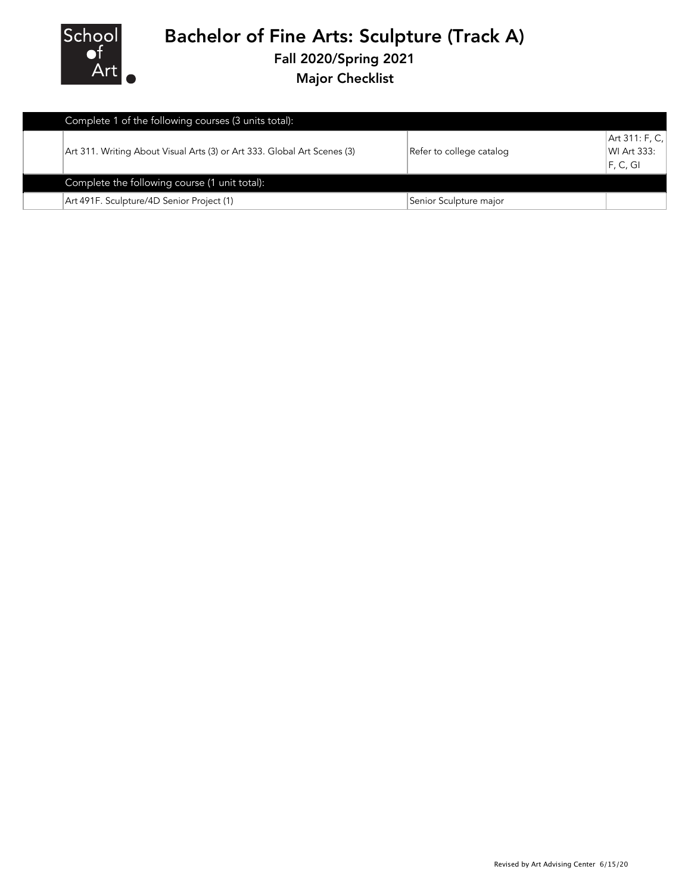

# Bachelor of Fine Arts: Sculpture (Track A)

Fall 2020/Spring 2021

Major Checklist

| Complete 1 of the following courses (3 units total):                     |                          |                                           |
|--------------------------------------------------------------------------|--------------------------|-------------------------------------------|
| Art 311. Writing About Visual Arts (3) or Art 333. Global Art Scenes (3) | Refer to college catalog | Art 311: F, C,<br>WI Art 333:<br>F, C, GI |
| Complete the following course (1 unit total):                            |                          |                                           |
| Art 491F. Sculpture/4D Senior Project (1)                                | Senior Sculpture major   |                                           |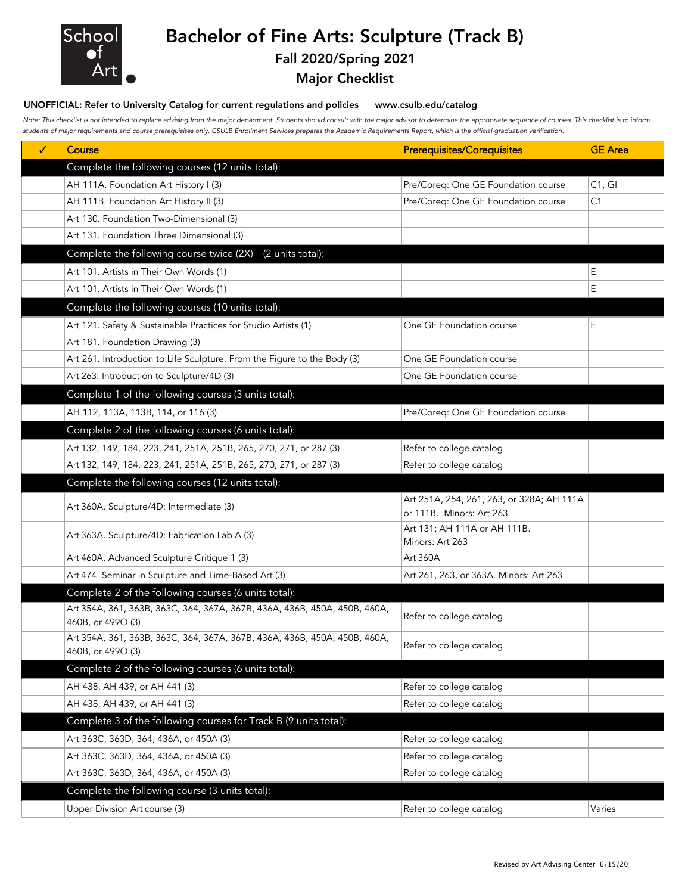

# Bachelor of Fine Arts: Sculpture (Track B)

## Fall 2020/Spring 2021

### Major Checklist

### UNOFFICIAL: Refer to University Catalog for current regulations and policies www.csulb.edu/catalog

*Note: This checklist is not intended to replace advising from the major department. Students should consult with the major advisor to determine the appropriate sequence of courses. This checklist is to inform students of major requirements and course prerequisites only. CSULB Enrollment Services prepares the Academic Requirements Report, which is the official graduation verification.*

| ✓ | Course                                                                                         | <b>Prerequisites/Corequisites</b>               | <b>GE</b> Area |
|---|------------------------------------------------------------------------------------------------|-------------------------------------------------|----------------|
|   | Complete the following courses (12 units total):                                               |                                                 |                |
|   | AH 111A. Foundation Art History I (3)                                                          | Pre/Coreq: One GE Foundation course             | C1, G1         |
|   | AH 111B. Foundation Art History II (3)                                                         | Pre/Coreq: One GE Foundation course             | C1             |
|   | Art 130. Foundation Two-Dimensional (3)                                                        |                                                 |                |
|   | Art 131. Foundation Three Dimensional (3)                                                      |                                                 |                |
|   | Complete the following course twice (2X)<br>(2 units total):                                   |                                                 |                |
|   | Art 101. Artists in Their Own Words (1)                                                        |                                                 | Е              |
|   | Art 101. Artists in Their Own Words (1)                                                        |                                                 | E              |
|   | Complete the following courses (10 units total):                                               |                                                 |                |
|   | Art 121. Safety & Sustainable Practices for Studio Artists (1)                                 | One GE Foundation course                        | Е              |
|   | Art 181. Foundation Drawing (3)                                                                |                                                 |                |
|   | Art 261. Introduction to Life Sculpture: From the Figure to the Body (3)                       | One GE Foundation course                        |                |
|   | Art 263. Introduction to Sculpture/4D (3)                                                      | One GE Foundation course                        |                |
|   | Complete 1 of the following courses (3 units total):                                           |                                                 |                |
|   | AH 112, 113A, 113B, 114, or 116 (3)                                                            | Pre/Coreq: One GE Foundation course             |                |
|   | Complete 2 of the following courses (6 units total):                                           |                                                 |                |
|   | Art 132, 149, 184, 223, 241, 251A, 251B, 265, 270, 271, or 287 (3)                             | Refer to college catalog                        |                |
|   | Art 132, 149, 184, 223, 241, 251A, 251B, 265, 270, 271, or 287 (3)                             | Refer to college catalog                        |                |
|   | Complete the following courses (12 units total):                                               |                                                 |                |
|   | Art 360A. Sculpture/4D: Intermediate (3)                                                       | Art 251A, 254, 261, 263, or 328A; AH 111A       |                |
|   |                                                                                                | or 111B. Minors: Art 263                        |                |
|   | Art 363A. Sculpture/4D: Fabrication Lab A (3)                                                  | Art 131; AH 111A or AH 111B.<br>Minors: Art 263 |                |
|   | Art 460A. Advanced Sculpture Critique 1 (3)                                                    | Art 360A                                        |                |
|   | Art 474. Seminar in Sculpture and Time-Based Art (3)                                           | Art 261, 263, or 363A. Minors: Art 263          |                |
|   | Complete 2 of the following courses (6 units total):                                           |                                                 |                |
|   | Art 354A, 361, 363B, 363C, 364, 367A, 367B, 436A, 436B, 450A, 450B, 460A,                      |                                                 |                |
|   | 460B, or 499O (3)                                                                              | Refer to college catalog                        |                |
|   | Art 354A, 361, 363B, 363C, 364, 367A, 367B, 436A, 436B, 450A, 450B, 460A,<br>460B, or 499O (3) | Refer to college catalog                        |                |
|   | Complete 2 of the following courses (6 units total):                                           |                                                 |                |
|   | AH 438, AH 439, or AH 441 (3)                                                                  | Refer to college catalog                        |                |
|   | AH 438, AH 439, or AH 441 (3)                                                                  | Refer to college catalog                        |                |
|   | Complete 3 of the following courses for Track B (9 units total):                               |                                                 |                |
|   | Art 363C, 363D, 364, 436A, or 450A (3)                                                         | Refer to college catalog                        |                |
|   | Art 363C, 363D, 364, 436A, or 450A (3)                                                         | Refer to college catalog                        |                |
|   | Art 363C, 363D, 364, 436A, or 450A (3)                                                         | Refer to college catalog                        |                |
|   | Complete the following course (3 units total):                                                 |                                                 |                |
|   | Upper Division Art course (3)                                                                  | Refer to college catalog                        | Varies         |